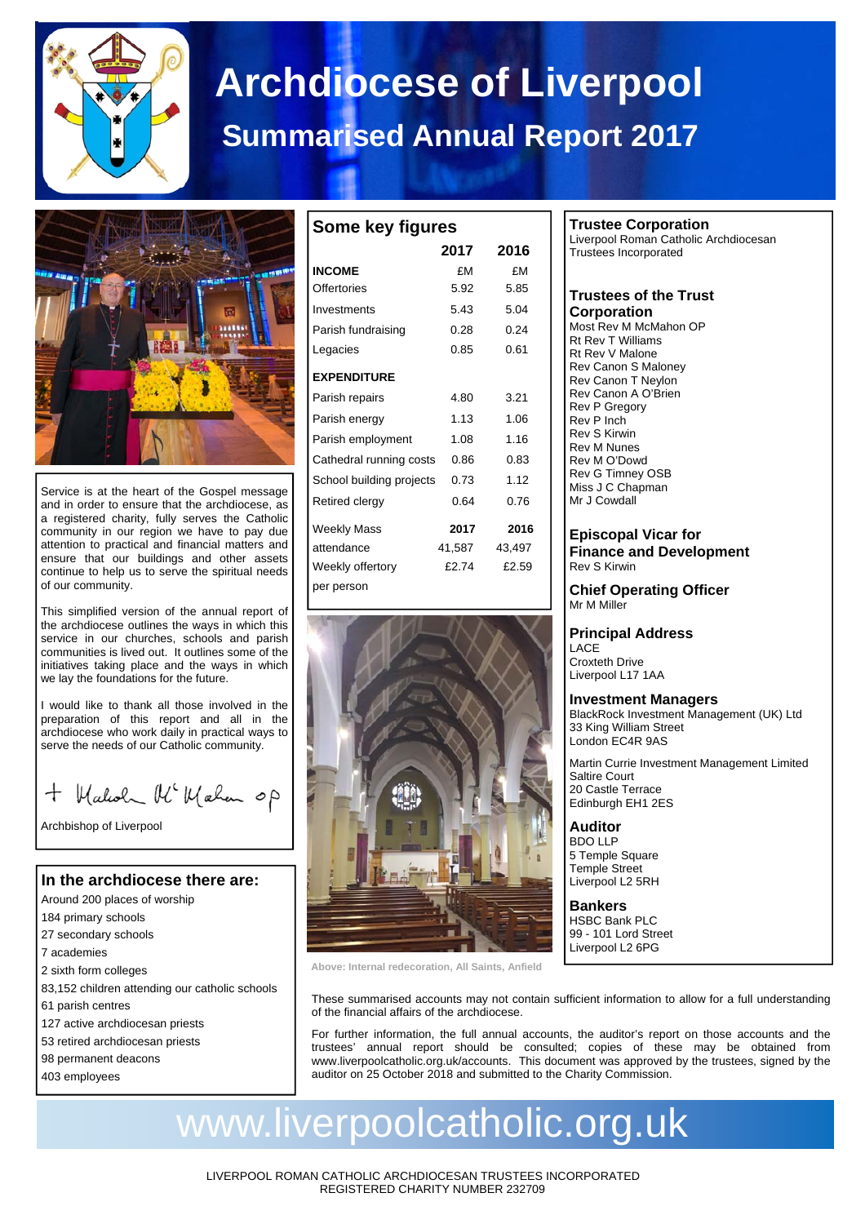

# **Archdiocese of Liverpool Summarised Annual Report 2017**



Service is at the heart of the Gospel message and in order to ensure that the archdiocese, as a registered charity, fully serves the Catholic community in our region we have to pay due attention to practical and financial matters and ensure that our buildings and other assets continue to help us to serve the spiritual needs of our community.

This simplified version of the annual report of the archdiocese outlines the ways in which this service in our churches, schools and parish communities is lived out. It outlines some of the initiatives taking place and the ways in which we lay the foundations for the future.

I would like to thank all those involved in the preparation of this report and all in the archdiocese who work daily in practical ways to serve the needs of our Catholic community.

+ Walcoh Mc Wahan op

Archbishop of Liverpool

## **In the archdiocese there are:**

- Around 200 places of worship
- 184 primary schools
- 27 secondary schools 7 academies
- 
- 2 sixth form colleges
- 83,152 children attending our catholic schools
- 61 parish centres
- 127 active archdiocesan priests 53 retired archdiocesan priests
- 98 permanent deacons
- 403 employees

| Some key figures         |        |        |  |  |  |  |
|--------------------------|--------|--------|--|--|--|--|
|                          | 2017   | 2016   |  |  |  |  |
| <b>INCOME</b>            | £Μ     | £٧     |  |  |  |  |
| Offertories              | 5.92   | 5.85   |  |  |  |  |
| Investments              | 5.43   | 5.04   |  |  |  |  |
| Parish fundraising       | 0.28   | 0.24   |  |  |  |  |
| Legacies                 | 0.85   | 0.61   |  |  |  |  |
| <b>EXPENDITURE</b>       |        |        |  |  |  |  |
| Parish repairs           | 4.80   | 3.21   |  |  |  |  |
| Parish energy            | 1.13   | 1.06   |  |  |  |  |
| Parish employment        | 1.08   | 1.16   |  |  |  |  |
| Cathedral running costs  | 0.86   | 0.83   |  |  |  |  |
| School building projects | 0.73   | 1.12   |  |  |  |  |
| Retired clergy           | 0.64   | 0.76   |  |  |  |  |
| Weekly Mass              | 2017   | 2016   |  |  |  |  |
| attendance               | 41,587 | 43.497 |  |  |  |  |
| Weekly offertory         | £2.74  | £2.59  |  |  |  |  |
| per person               |        |        |  |  |  |  |



#### **Trustee Corporation**  Liverpool Roman Catholic Archdiocesan Trustees Incorporated

## **Trustees of the Trust Corporation**

Most Rev M McMahon OP Rt Rev T Williams Rt Rev V Malone Rev Canon S Maloney Rev Canon T Neylon Rev Canon A O'Brien Rev P Gregory Rev P Inch Rev S Kirwin Rev M Nunes Rev M O'Dowd Rev G Timney OSB Miss J C Chapman Mr J Cowdall

## **Episcopal Vicar for Finance and Development**  Rev S Kirwin

## **Chief Operating Officer**  Mr M Miller

## **Principal Address**

LACE Croxteth Drive Liverpool L17 1AA

## **Investment Managers**

BlackRock Investment Management (UK) Ltd 33 King William Street London EC4R 9AS

Martin Currie Investment Management Limited Saltire Court 20 Castle Terrace Edinburgh EH1 2ES

#### **Auditor**  BDO LLP 5 Temple Square Temple Street Liverpool L2 5RH

**Bankers**  HSBC Bank PLC 99 - 101 Lord Street Liverpool L2 6PG

**Above: Internal redecoration, All Saints, Anfield** 

These summarised accounts may not contain sufficient information to allow for a full understanding of the financial affairs of the archdiocese.

For further information, the full annual accounts, the auditor's report on those accounts and the trustees' annual report should be consulted; copies of these may be obtained from www.liverpoolcatholic.org.uk/accounts. This document was approved by the trustees, signed by the auditor on 25 October 2018 and submitted to the Charity Commission.

## www.liverpoolcatholic.org.uk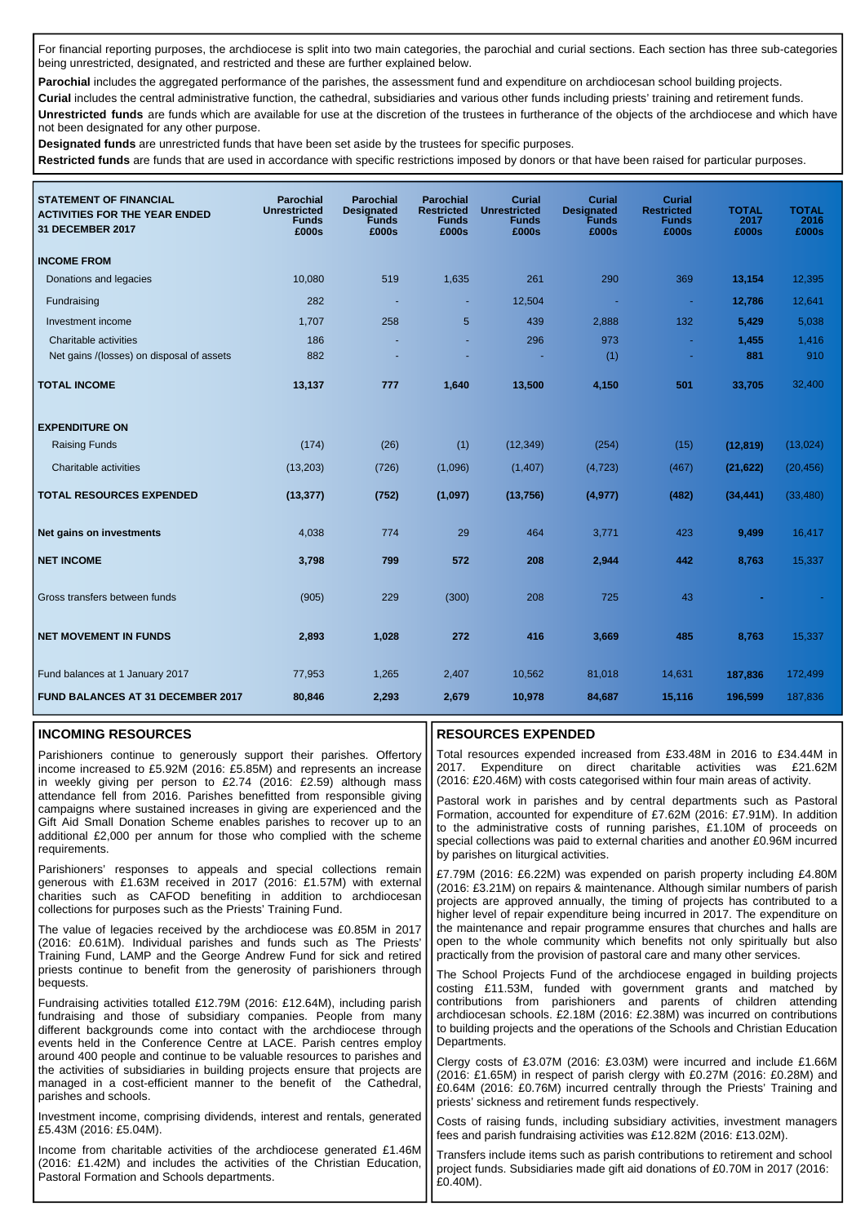For financial reporting purposes, the archdiocese is split into two main categories, the parochial and curial sections. Each section has three sub-categories being unrestricted, designated, and restricted and these are further explained below.

Parochial includes the aggregated performance of the parishes, the assessment fund and expenditure on archdiocesan school building projects.

**Curial** includes the central administrative function, the cathedral, subsidiaries and various other funds including priests' training and retirement funds. **Unrestricted funds** are funds which are available for use at the discretion of the trustees in furtherance of the objects of the archdiocese and which have not been designated for any other purpose.

**Designated funds** are unrestricted funds that have been set aside by the trustees for specific purposes.

**Restricted funds** are funds that are used in accordance with specific restrictions imposed by donors or that have been raised for particular purposes.

| <b>STATEMENT OF FINANCIAL</b><br><b>ACTIVITIES FOR THE YEAR ENDED</b><br>31 DECEMBER 2017 | <b>Parochial</b><br><b>Unrestricted</b><br><b>Funds</b><br>£000s | <b>Parochial</b><br><b>Designated</b><br><b>Funds</b><br>£000s | <b>Parochial</b><br><b>Restricted</b><br><b>Funds</b><br>£000s | <b>Curial</b><br><b>Unrestricted</b><br><b>Funds</b><br>£000s | <b>Curial</b><br><b>Designated</b><br><b>Funds</b><br>£000s | <b>Curial</b><br><b>Restricted</b><br><b>Funds</b><br>£000s | <b>TOTAL</b><br>2017<br>£000s | <b>TOTAL</b><br>2016<br>£000s |
|-------------------------------------------------------------------------------------------|------------------------------------------------------------------|----------------------------------------------------------------|----------------------------------------------------------------|---------------------------------------------------------------|-------------------------------------------------------------|-------------------------------------------------------------|-------------------------------|-------------------------------|
| <b>INCOME FROM</b>                                                                        |                                                                  |                                                                |                                                                |                                                               |                                                             |                                                             |                               |                               |
| Donations and legacies                                                                    | 10,080                                                           | 519                                                            | 1,635                                                          | 261                                                           | 290                                                         | 369                                                         | 13,154                        | 12,395                        |
| Fundraising                                                                               | 282                                                              | $\overline{\phantom{a}}$                                       | ٠                                                              | 12,504                                                        |                                                             | $\sim$                                                      | 12,786                        | 12,641                        |
| Investment income                                                                         | 1,707                                                            | 258                                                            | 5                                                              | 439                                                           | 2,888                                                       | 132                                                         | 5,429                         | 5,038                         |
| Charitable activities<br>Net gains /(losses) on disposal of assets                        | 186<br>882                                                       |                                                                |                                                                | 296                                                           | 973<br>(1)                                                  | $\omega$                                                    | 1,455<br>881                  | 1,416<br>910                  |
| <b>TOTAL INCOME</b>                                                                       | 13,137                                                           | 777                                                            | 1,640                                                          | 13,500                                                        | 4,150                                                       | 501                                                         | 33,705                        | 32,400                        |
| <b>EXPENDITURE ON</b>                                                                     |                                                                  |                                                                |                                                                |                                                               |                                                             |                                                             |                               |                               |
| <b>Raising Funds</b>                                                                      | (174)                                                            | (26)                                                           | (1)                                                            | (12, 349)                                                     | (254)                                                       | (15)                                                        | (12, 819)                     | (13,024)                      |
| Charitable activities                                                                     | (13,203)                                                         | (726)                                                          | (1,096)                                                        | (1, 407)                                                      | (4, 723)                                                    | (467)                                                       | (21, 622)                     | (20, 456)                     |
| <b>TOTAL RESOURCES EXPENDED</b>                                                           | (13, 377)                                                        | (752)                                                          | (1,097)                                                        | (13,756)                                                      | (4, 977)                                                    | (482)                                                       | (34, 441)                     | (33, 480)                     |
| Net gains on investments                                                                  | 4,038                                                            | 774                                                            | 29                                                             | 464                                                           | 3,771                                                       | 423                                                         | 9,499                         | 16,417                        |
| <b>NET INCOME</b>                                                                         | 3,798                                                            | 799                                                            | 572                                                            | 208                                                           | 2,944                                                       | 442                                                         | 8,763                         | 15,337                        |
| Gross transfers between funds                                                             | (905)                                                            | 229                                                            | (300)                                                          | 208                                                           | 725                                                         | 43                                                          |                               |                               |
| <b>NET MOVEMENT IN FUNDS</b>                                                              | 2,893                                                            | 1,028                                                          | 272                                                            | 416                                                           | 3,669                                                       | 485                                                         | 8,763                         | 15,337                        |
| Fund balances at 1 January 2017                                                           | 77,953                                                           | 1,265                                                          | 2,407                                                          | 10,562                                                        | 81,018                                                      | 14,631                                                      | 187,836                       | 172,499                       |
| <b>FUND BALANCES AT 31 DECEMBER 2017</b>                                                  | 80,846                                                           | 2,293                                                          | 2,679                                                          | 10,978                                                        | 84,687                                                      | 15,116                                                      | 196,599                       | 187,836                       |

#### **INCOMING RESOURCES**

#### Parishioners continue to generously support their parishes. Offertory income increased to £5.92M (2016: £5.85M) and represents an increase in weekly giving per person to £2.74 (2016: £2.59) although mass attendance fell from 2016. Parishes benefitted from responsible giving campaigns where sustained increases in giving are experienced and the Gift Aid Small Donation Scheme enables parishes to recover up to an additional £2,000 per annum for those who complied with the scheme requirements.

Parishioners' responses to appeals and special collections remain generous with £1.63M received in 2017 (2016: £1.57M) with external charities such as CAFOD benefiting in addition to archdiocesan collections for purposes such as the Priests' Training Fund.

The value of legacies received by the archdiocese was £0.85M in 2017 (2016: £0.61M). Individual parishes and funds such as The Priests' Training Fund, LAMP and the George Andrew Fund for sick and retired priests continue to benefit from the generosity of parishioners through bequests.

Fundraising activities totalled £12.79M (2016: £12.64M), including parish fundraising and those of subsidiary companies. People from many different backgrounds come into contact with the archdiocese through events held in the Conference Centre at LACE. Parish centres employ around 400 people and continue to be valuable resources to parishes and the activities of subsidiaries in building projects ensure that projects are managed in a cost-efficient manner to the benefit of the Cathedral, parishes and schools.

Investment income, comprising dividends, interest and rentals, generated £5.43M (2016: £5.04M).

Income from charitable activities of the archdiocese generated £1.46M (2016: £1.42M) and includes the activities of the Christian Education, Pastoral Formation and Schools departments.

## **RESOURCES EXPENDED**

Total resources expended increased from £33.48M in 2016 to £34.44M in 2017. Expenditure on direct charitable activities was £21.62M (2016: £20.46M) with costs categorised within four main areas of activity.

Pastoral work in parishes and by central departments such as Pastoral Formation, accounted for expenditure of £7.62M (2016: £7.91M). In addition to the administrative costs of running parishes, £1.10M of proceeds on special collections was paid to external charities and another £0.96M incurred by parishes on liturgical activities.

£7.79M (2016: £6.22M) was expended on parish property including £4.80M (2016: £3.21M) on repairs & maintenance. Although similar numbers of parish projects are approved annually, the timing of projects has contributed to a higher level of repair expenditure being incurred in 2017. The expenditure on the maintenance and repair programme ensures that churches and halls are open to the whole community which benefits not only spiritually but also practically from the provision of pastoral care and many other services.

The School Projects Fund of the archdiocese engaged in building projects costing £11.53M, funded with government grants and matched by contributions from parishioners and parents of children attending archdiocesan schools. £2.18M (2016: £2.38M) was incurred on contributions to building projects and the operations of the Schools and Christian Education Departments.

Clergy costs of £3.07M (2016: £3.03M) were incurred and include £1.66M (2016: £1.65M) in respect of parish clergy with £0.27M (2016: £0.28M) and £0.64M (2016: £0.76M) incurred centrally through the Priests' Training and priests' sickness and retirement funds respectively.

Costs of raising funds, including subsidiary activities, investment managers fees and parish fundraising activities was £12.82M (2016: £13.02M).

Transfers include items such as parish contributions to retirement and school project funds. Subsidiaries made gift aid donations of £0.70M in 2017 (2016:  $F(0.40M)$ .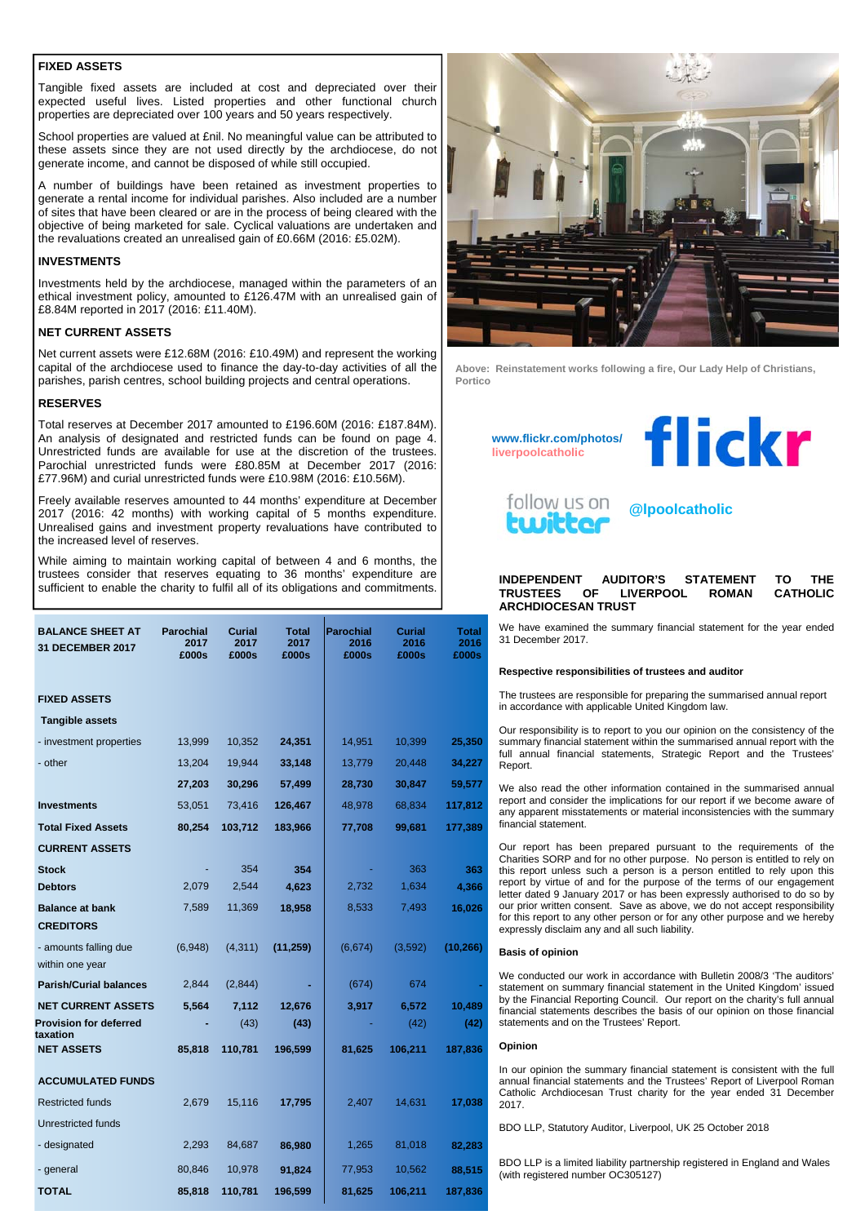### **FIXED ASSETS**

Tangible fixed assets are included at cost and depreciated over their expected useful lives. Listed properties and other functional church properties are depreciated over 100 years and 50 years respectively.

School properties are valued at £nil. No meaningful value can be attributed to these assets since they are not used directly by the archdiocese, do not generate income, and cannot be disposed of while still occupied.

A number of buildings have been retained as investment properties to generate a rental income for individual parishes. Also included are a number of sites that have been cleared or are in the process of being cleared with the objective of being marketed for sale. Cyclical valuations are undertaken and the revaluations created an unrealised gain of £0.66M (2016: £5.02M).

## **INVESTMENTS**

Investments held by the archdiocese, managed within the parameters of an ethical investment policy, amounted to £126.47M with an unrealised gain of £8.84M reported in 2017 (2016: £11.40M).

## **NET CURRENT ASSETS**

Net current assets were £12.68M (2016: £10.49M) and represent the working capital of the archdiocese used to finance the day-to-day activities of all the parishes, parish centres, school building projects and central operations.

## **RESERVES**

Total reserves at December 2017 amounted to £196.60M (2016: £187.84M). An analysis of designated and restricted funds can be found on page 4. Unrestricted funds are available for use at the discretion of the trustees. Parochial unrestricted funds were £80.85M at December 2017 (2016: £77.96M) and curial unrestricted funds were £10.98M (2016: £10.56M).

Freely available reserves amounted to 44 months' expenditure at December 2017 (2016: 42 months) with working capital of 5 months expenditure. Unrealised gains and investment property revaluations have contributed to the increased level of reserves.

While aiming to maintain working capital of between 4 and 6 months, the trustees consider that reserves equating to 36 months' expenditure are sufficient to enable the charity to fulfil all of its obligations and commitments.

| <b>BALANCE SHEET AT</b><br><b>31 DECEMBER 2017</b> | <b>Parochial</b><br>2017<br>£000s | <b>Curial</b><br>2017<br>£000s | <b>Total</b><br>2017<br>£000s | <b>Parochial</b><br>2016<br>£000s | <b>Curial</b><br>2016<br>£000s | <b>Total</b><br>2016<br>£000s |
|----------------------------------------------------|-----------------------------------|--------------------------------|-------------------------------|-----------------------------------|--------------------------------|-------------------------------|
| <b>FIXED ASSETS</b>                                |                                   |                                |                               |                                   |                                |                               |
| <b>Tangible assets</b>                             |                                   |                                |                               |                                   |                                |                               |
| - investment properties                            | 13,999                            | 10,352                         | 24,351                        | 14,951                            | 10,399                         | 25,350                        |
| - other                                            | 13,204                            | 19,944                         | 33,148                        | 13,779                            | 20,448                         | 34,227                        |
|                                                    | 27,203                            | 30,296                         | 57,499                        | 28,730                            | 30,847                         | 59,577                        |
| <b>Investments</b>                                 | 53,051                            | 73,416                         | 126,467                       | 48,978                            | 68,834                         | 117,812                       |
| <b>Total Fixed Assets</b>                          | 80,254                            | 103,712                        | 183,966                       | 77,708                            | 99,681                         | 177,389                       |
| <b>CURRENT ASSETS</b>                              |                                   |                                |                               |                                   |                                |                               |
| <b>Stock</b>                                       |                                   | 354                            | 354                           |                                   | 363                            | 363                           |
| <b>Debtors</b>                                     | 2,079                             | 2,544                          | 4,623                         | 2,732                             | 1,634                          | 4,366                         |
| <b>Balance at bank</b><br><b>CREDITORS</b>         | 7,589                             | 11,369                         | 18,958                        | 8,533                             | 7,493                          | 16,026                        |
| - amounts falling due<br>within one year           | (6,948)                           | (4, 311)                       | (11, 259)                     | (6,674)                           | (3,592)                        | (10, 266)                     |
| <b>Parish/Curial balances</b>                      | 2,844                             | (2,844)                        |                               | (674)                             | 674                            |                               |
| <b>NET CURRENT ASSETS</b>                          | 5,564                             | 7,112                          | 12,676                        | 3,917                             | 6,572                          | 10,489                        |
| <b>Provision for deferred</b><br>taxation          |                                   | (43)                           | (43)                          |                                   | (42)                           | (42)                          |
| <b>NET ASSETS</b>                                  | 85,818                            | 110,781                        | 196,599                       | 81,625                            | 106,211                        | 187,836                       |
| <b>ACCUMULATED FUNDS</b>                           |                                   |                                |                               |                                   |                                |                               |
| <b>Restricted funds</b>                            | 2,679                             | 15,116                         | 17,795                        | 2,407                             | 14,631                         | 17,038                        |
| <b>Unrestricted funds</b>                          |                                   |                                |                               |                                   |                                |                               |
| - designated                                       | 2,293                             | 84,687                         | 86,980                        | 1,265                             | 81,018                         | 82,283                        |
| - general                                          | 80,846                            | 10,978                         | 91,824                        | 77,953                            | 10,562                         | 88,515                        |
| TOTAL                                              | 85,818                            | 110,781                        | 196,599                       | 81,625                            | 106,211                        | 187,836                       |



**Above: Reinstatement works following a fire, Our Lady Help of Christians, Portico** 

**www.flickr.com/photos/ liverpoolcatholic**





## **@lpoolcatholic**

#### **INDEPENDENT AUDITOR'S STATEMENT TO THE TRUSTEES OF LIVERPOOL ROMAN ARCHDIOCESAN TRUST**

We have examined the summary financial statement for the year ended 31 December 2017.

#### **Respective responsibilities of trustees and auditor**

The trustees are responsible for preparing the summarised annual report in accordance with applicable United Kingdom law.

Our responsibility is to report to you our opinion on the consistency of the summary financial statement within the summarised annual report with the full annual financial statements, Strategic Report and the Trustees' Report.

We also read the other information contained in the summarised annual report and consider the implications for our report if we become aware of any apparent misstatements or material inconsistencies with the summary financial statement.

Our report has been prepared pursuant to the requirements of the Charities SORP and for no other purpose. No person is entitled to rely on this report unless such a person is a person entitled to rely upon this report by virtue of and for the purpose of the terms of our engagement letter dated 9 January 2017 or has been expressly authorised to do so by our prior written consent. Save as above, we do not accept responsibility for this report to any other person or for any other purpose and we hereby expressly disclaim any and all such liability.

#### **Basis of opinion**

We conducted our work in accordance with Bulletin 2008/3 'The auditors' statement on summary financial statement in the United Kingdom' issued by the Financial Reporting Council. Our report on the charity's full annual financial statements describes the basis of our opinion on those financial statements and on the Trustees' Report.

#### **Opinion**

In our opinion the summary financial statement is consistent with the full annual financial statements and the Trustees' Report of Liverpool Roman Catholic Archdiocesan Trust charity for the year ended 31 December 2017.

BDO LLP, Statutory Auditor, Liverpool, UK 25 October 2018

BDO LLP is a limited liability partnership registered in England and Wales (with registered number OC305127)